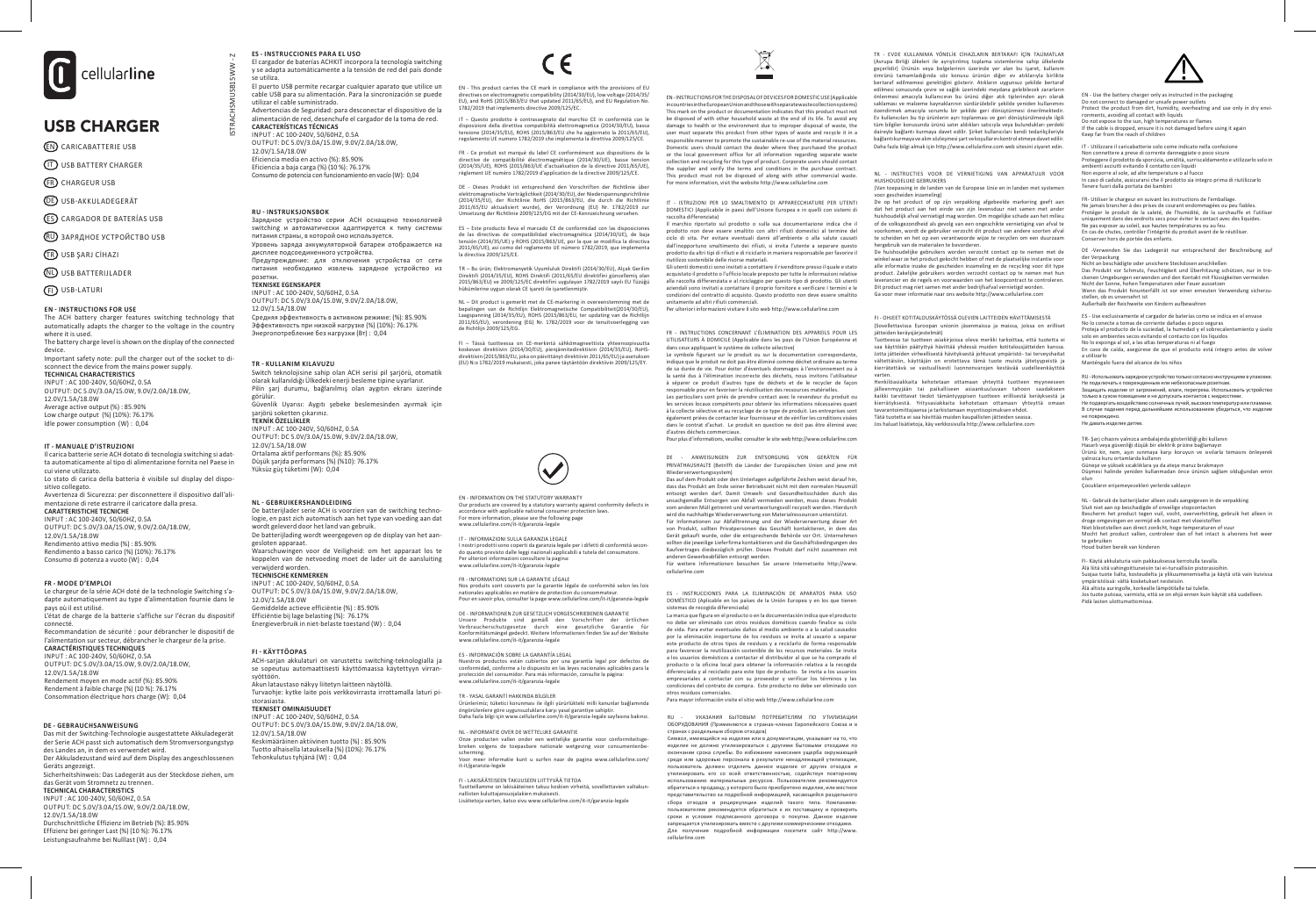

# USB CHARGER

- EN CARICABATTERIE USB
- IT USB BATTERY CHARGER
- FR CHARGEUR USB
- **DE** USB-AKKULADEGERÄT
- ES CARGADOR DE BATERÍAS USB
- RU ЗАРЯДНОЕ УСТРОЙСТВО USB
- TR USB ŞARJ CİHAZI
- NL USB BATTERIJLADER
- 

# **EN - INSTRUCTIONS FOR USE**

The ACH battery charger features switching technology that automatically adapts the charger to the voltage in the country where it is used. The battery charge level is shown on the display of the connected device. Important safety note: pull the charger out of the socket to di-

sconnect the device from the mains power supply. **TECHNICAL CHARACTERISTICS**<br>INPIIT : AC 100-240V 50/60HZ 0.5A INPUT : AC 100-240V, 50/60HZ, 0.5A OUTPUT: DC 5.0V/3.0A/15.0W, 9.0V/2.0A/18.0W, 12.0V/1.5A/18.0W Average active output (%) : 85.90% Low charge output (%) (10%): 76.17% Idle power consumption (W) : 0,04

# **IT - MANUALE D'ISTRUZIONI**

Il carica batterie serie ACH dotato di tecnologia switching si adatta automaticamente al tipo di alimentazione fornita nel Paese in cui viene utilizzato. Lo stato di carica della batteria è visibile sul display del dispositivo collegato.

Avvertenza di Sicurezza: per disconnettere il dispositivo dall'alimentazione di rete estrarre il caricatore dalla presa.

### **CARATTERISTICHE TECNICHE** INPUT : AC 100-240V, 50/60HZ, 0.5A

OUTPUT: DC 5.0V/3.0A/15.0W, 9.0V/2.0A/18.0W, 12.0V/1.5A/18.0W Rendimento attivo medio (%) : 85.90% Rendimento a basso carico (%) (10%): 76.17% Consumo di potenza a vuoto (W) : 0,04

### **FR - MODE D'EMPLOI**

Le chargeur de la série ACH doté de la technologie Switching s'adapte automatiquement au type d'alimentation fournie dans le pays où il est utilisé. L'état de charge de la batterie s'affiche sur l'écran du dispositif connecté. Recommandation de sécurité : pour débrancher le dispositif de l'alimentation sur secteur, débrancher le chargeur de la prise.

# **CARACTÉRISTIQUES TECHNIQUES**

INPUT : AC 100-240V, 50/60HZ, 0.5A OUTPUT: DC 5.0V/3.0A/15.0W, 9.0V/2.0A/18.0W, 12.0V/1.5A/18.0W

Rendement moyen en mode actif (%): 85.90% Rendement à faible charge (%) (10 %): 76.17% Consommation électrique hors charge (W): 0,04

# **DE - GEBRAUCHSANWEISUNG**

Das mit der Switching-Technologie ausgestattete Akkuladegerät der Serie ACH passt sich automatisch dem Stromversorgungstyp des Landes an, in dem es verwendet wird. Der Akkuladezustand wird auf dem Display des angeschlossenen Geräts angezeigt. Sicherheitshinweis: Das Ladegerät aus der Steckdose ziehen, um das Gerät vom Stromnetz zu trennen. **TECHNICAL CHARACTERISTICS**

# INPUT : AC 100-240V, 50/60HZ, 0.5A

OUTPUT: DC 5.0V/3.0A/15.0W, 9.0V/2.0A/18.0W, 12.0V/1.5A/18.0W Durchschnittliche Effizienz im Betrieb (%): 85.90% Effizienz bei geringer Last (%) (10 %): 76.17% Leistungsaufnahme bei Nulllast (W) : 0,04

El cargador de baterías ACHKIT incorpora la tecnología switching y se adapta automáticamente a la tensión de red del país donde se utiliza. El puerto USB permite recargar cualquier aparato que utilice un cable USB para su alimentación. Para la sincronización se puede utilizar el cable suministrado. Advertencias de Seguridad: para desconectar el dispositivo de la alimentación de red, desenchufe el cargador de la toma de red. **CARACTERÍSTICAS TÉCNICAS** 

INPUT : AC 100-240V, 50/60HZ, 0.5A OUTPUT: DC 5.0V/3.0A/15.0W, 9.0V/2.0A/18.0W, 12.0V/1.5A/18.0W Eficiencia media en activo (%): 85.90%

**ES - INSTRUCCIONES PARA EL USO**

Eficiencia a baja carga (%) (10 %): 76.17% Consumo de potencia con funcionamiento en vacío (W): 0,04

# **RU - INSTRUKSJONSBOK**

ISTRACHSMUSB15WW - Z

 $\overline{\phantom{a}}$ 

Зарядное устройство серии ACH оснащено технологией switching и автоматически адаптируется к типу системы питания страны, в которой оно используется. Уровень заряда аккумуляторной батареи отображается на дисплее подсоединенного устройства. Предупреждение: для отключения устройства от сети питания необходимо извлечь зарядное устройство из розетки. **TEKNISKE EGENSKAPER**

OUTPUT: DC 5.0V/3.0A/15.0W, 9.0V/2.0A/18.0W, 12.0V/1.5A/18.0W Средняя эффективность в активном режиме: (%): 85.90% Эффективность при низкой нагрузке (%) (10%): 76.17% Энергопотребление без нагрузки (Вт) : 0,04

Güvenlik Uyarısı: Aygıtı şebeke beslemesinden ayırmak için

# **NL - GEBRUIKERSHANDLEIDING**

De batterijlader serie ACH is voorzien van de switching technologie, en past zich automatisch aan het type van voeding aan dat wordt geleverd door het land van gebruik. De batterijlading wordt weergegeven op de display van het aangesloten apparaat. koppelen van de netvoeding moet de lader uit de aansluiting

**TECHNISCHE KENMERKEN** INPUT : AC 100-240V, 50/60HZ, 0.5A OUTPUT: DC 5.0V/3.0A/15.0W, 9.0V/2.0A/18.0W, 12.0V/1.5A/18.0W Gemiddelde actieve efficiëntie (%) : 85.90% Efficiëntie bij lage belasting (%): 76.17% Energieverbruik in niet-belaste toestand (W) : 0,04

# **FI - KÄYTTÖOPAS**

ACH-sarjan akkulaturi on varustettu switching-teknologialla ja se sopeutuu automaattisesti käyttömaassa käytettyyn virransyöttöön.

Akun lataustaso näkyy liitetyn laitteen näytöllä. Turvaohje: kytke laite pois verkkovirrasta irrottamalla laturi pi-

# storasiasta.

INPUT : AC 100-240V, 50/60HZ, 0.5A OUTPUT: DC 5.0V/3.0A/15.0W, 9.0V/2.0A/18.0W, 12.0V/1.5A/18.0W Keskimääräinen aktiivinen tuotto (%) : 85.90% Tuotto alhaisella latauksella (%) (10%): 76.17% Tehonkulutus tyhjänä (W) : 0,04

INPUT : AC 100-240V, 50/60HZ, 0.5A

**TR - KULLANIM KILAVUZU**

Switch teknolojisine sahip olan ACH serisi pil şarjörü, otomatik olarak kullanıldığı Ülkedeki enerji besleme tipine uyarlanır. Pilin şarj durumu, bağlanılmış olan aygıtın ekranı üzerinde görülür. şarjörü soketten çıkarınız. **TEKNİK ÖZELLİKLER** INPUT : AC 100-240V, 50/60HZ, 0.5A OUTPUT: DC 5.0V/3.0A/15.0W, 9.0V/2.0A/18.0W, 12.0V/1.5A/18.0W Ortalama aktif performans (%): 85.90% Düşük şarjda performans (%) (%10): 76.17% Yüksüz güç tüketimi (W): 0,04

Waarschuwingen voor de Veiligheid: om het apparaat los te

# verwijderd worden.

### **TEKNISET OMINAISUUDET**

1782/2019 that implements directive 2009/125/EC. IT – Questo prodotto è contrassegnato dal marchio CE in conformità con le disposizioni della direttiva compatibilità elettromagnetica (2014/30/EU), bassa tensione (2014/35/EU), ROHS (2015/863/EU che ha aggiornato la 2011/65/EU),

regolamento UE numero 1782/2019 che implementa la direttiva 2009/125/CE. FR - Ce produit est marqué du label CE conformément aux dispositions de la directive de compatibilité électromagnétique (2014/30/UE), basse tension (2014/35/UE), ROHS (2015/863/UE d'actualisation de la directive 2011/65/UE), règlement UE numéro 1782/2019 d'application de la directive 2009/125/CE.

EN - This product carries the CE mark in compliance with the provisions of EU directives on electromagnetic compatibility (2014/30/EU), low voltage (2014/35/ EU), and RoHS (2015/863/EU that updated 2011/65/EU), and EU Regulation No.

DE - Dieses Produkt ist entsprechend den Vorschriften der Richtlinie über elektromagnetische Verträglichkeit (2014/30/EU), der Niederspannungsrichtlinie<br>(2014/35/EU), der Richtlinie RoHS (2015/863/EU, die durch die Richtlinie<br>2011/65/EU aktualisiert wurde), der Verordnung (EU) Nr. 1782/2019 zur<br>

ES – Este producto lleva el marcado CE de conformidad con las disposiciones de las directivas de compatibilidad electromagnética (2014/30/UE), de baja tensión (2014/35/UE) y ROHS (2015/863/UE, por la que se modifica la directiva 2011/65/UE), así como del reglamento UE número 1782/2019, que implementa la directiva 2009/125/CE.

TR – Bu ürün; Elektromanyetik Uyumluluk Direktifi (2014/30/EU), Alçak Gerilim<br>Direktifi (2014/35/EU), ROHS Direktifi (2011/65/EU direktifini güncellemiş olan<br>2015/863/EU) ve 2009/125/EC direktifini uygulayan 1782/2019 sayı hükümlerine uygun olarak CE işareti ile işaretlenmiştir.

NL – Dit product is gemerkt met de CE-markering in overeenstemming met de<br>bepalingen van de Richtlijn Elektromagnetische Compatibiliteit(2014/30/EU),<br>Laagspanning (2014/35/EU), ROHS (2015/863/EU, ter updating van de Ric 2011/65/EU), verordening (EG) Nr. 1782/2019 voor de tenuitvoerlegging van de Richtlijn 2009/125/EG.

FI – Tässä tuotteessa on CE-merkintä sähkömagneettista yhteensopivuutta<br>koskevan direktiivin (2014/30/EU), pienjännitedirektiivin (2014/35/EU), RoHS-<br>direktiivin(2015/863/EU, joka on päivittänyt direktiivin 2011/65/EU) ja

EN - INSTRUCTIONS FOR THE DISPOSAL OF DEVICES FOR DOMESTIC USE (Applicable itries in the European Union and those with separate waste collection systems This mark on the product or documentation indicates that this product must not<br>be disposed of with other hourehold waste at the ond of its life. To avoid any be disposed of with other household waste at the end of its life. To avoid any<br>damage to health or the environment due to improper disposal of waste, the<br>user must separate this product from other types of waste and recycl responsible manner to promote the sustainable re-use of the material resources. Domestic users should contact the dealer where they purchased the product or the local government office for all information regarding separate waste collection and recycling for this type of product. Corporate users should contact the supplier and verify the terms and conditions in the purchase contract. This product must not be disposed of along with other commercial waste. For more information, visit the website http://www.cellularline.com

IT - ISTRUZIONI PER LO SMALTIMENTO DI APPARECCHIATURE PER UTENTI DOMESTICI (Applicabile in paesi dell'Unione Europea e in quelli con sistemi di raccolta differenziata)

Il marchio riportato sul prodotto o sulla sua documentazione indica che il prodotto non deve essere smaltito con altri rifiuti domestici al termine del ciclo di vita. Per evitare eventuali danni all'ambiente o alla salute causati dall'inopportuno smaltimento dei rifiuti, si invita l'utente a separare questo prodotto da altri tipi di rifiuti e di riciclarlo in maniera responsabile per favorire il

riutilizzo sostenibile delle risorse materiali. Gli utenti domestici sono invitati a contattare il rivenditore presso il quale e stato acquistato il prodotto o l'ufficio locale preposto per tutte le informazioni relative alla raccolta differenziata e al riciclaggio per questo tipo di prodotto. Gli utenti aziendali sono invitati a contattare il proprio fornitore e verificare I termini e le condizioni del contratto di acquisto. Questo prodotto non deve essere smaltito unitamente ad altri rifiuti commerciali. Per ulteriori informazioni visitare il sito web http://www.cellularline.com ED USB-LATURI - GA VOOLUGE INFORMATIE INFORMATIE INFORMATIE INFORMATIE INFORMATIE INFORMATIE INFORMATIE INFORMATIES INFORMATIES INFORMATIES OF ONE ON ONE INFORMATIES INFORMATIES INFORMATIES INFORMATIES INFORMATIES INFORMAT

> FR - INSTRUCTIONS CONCERNANT L'ÉLIMINATION DES APPAREILS POUR LES UTILISATEURS À DOMICILE (Applicable dans les pays de l'Union Européenne et

dans ceux appliquant le système de collecte sélective) Le symbole figurant sur le produit ou sur la documentation correspondante, indique que le produit ne doit pas être éliminé comme déchet ordinaire au terme de sa durée de vie. Pour éviter d'éventuels dommages à l'environnement ou à

la santé dus à l'élimination incorrecte des déchets, nous invitons l'utilisateur à séparer ce produit d'autres type de déchets et de le recycler de façon responsable pour en favoriser la réutilisation des ressources matérielles. Les particuliers sont priés de prendre contact avec le revendeur du produit ou<br>les services locaux compétents pour obtenir les informations nécessaires quant<br>à la collecte sélective et au recyclage de ce type de produit. L également priées de contacter leur fournisseur et de vérifier les conditions visées dans le contrat d'achat. Le produit en question ne doit pas être éliminé avec

d'autres déchets commerciaux. Pour plus d'informations, veuillez consulter le site web http://www.cellularline.com

DE - ANWEISUNGEN ZUR ENTSORGUNG VON GERÄTEN FÜR PRIVATHAUSHALTE (Betrifft die Länder der Europäischen Union und jene mit Wiederverwertungssystem)

Das auf dem Produkt oder den Unterlagen aufgeführte Zeichen weist darauf hin, dass das Produkt am Ende seiner Betriebszeit nicht mit dem normalen Hausmüll entsorgt werden darf. Damit Umwelt- und Gesundheitsschäden durch das<br>unsachgemäße Entsorgen von Abfall vermieden werden, muss dieses Produkt<br>vom anderen Müll getrennt und verantwortungsvoll recycelt werden. Hierdurch wird die nachhaltige Wiederverwertung von Materialressourcen unterstützt. Für Informationen zur Abfalltrennung und der Wiederverwertung dieser Art von Produkt, sollten Privatpersonen das Geschäft kontaktieren, in dem das<br>Gerät gekauft wurde, oder die entsprechende Behörde vor Ort. Unternehmen<br>sollten die jeweilige Lieferfirma kontaktieren und die Geschäftsbedingungen Kaufvertrages diesbezüglich prüfen. Dieses Produkt darf nicht zusammen mit anvertrages diesbezugnen protent onder<br>Ideren Gewerbeabfällen entsorgt werder

Für weitere Informationen besuchen Sie unsere Internetseite http://www. cellularline.com

ES - INSTRUCCIONES PARA LA ELIMINACIÓN DE APARATOS PARA USO DOMÉSTICO (Aplicable en los países de la Unión Europea y en los que tienen sistemas de recogida diferenciada)

La marca que figura en el producto o en la documentación indica que el producto no debe ser eliminado con otros residuos dométicos cuando finalice su ciclo de vida. Para evitar eventuales daños al medio ambiente o a la salud causados por la eliminación inoportuna de los residuos se invita al usuario a separar este producto de otros tipos de residuos y a reciclarlo de forma responsable para favorecer la reutilización sostenible de los recursos materiales. Se invita a los usuarios domésticos a contactar el distribuidor al que se ha comprado el producto o la oficina local para obtener la información relativa a la recogida diferenciada y al reciclado para este tipo de producto. Se invita a los usuarios empresariales a contactar con su proveedor y verificar los términos y las condiciones del contrato de compra. Este producto no debe ser eliminado con otros residuos comerciales. Para mayor información visite el sitio web http://www.cellularline.com

RU - УКАЗАНИЯ БЫТОВЫМ ПОТРЕБИТЕЛЯМ ПО УТИЛИЗАЦИИ ОБОРУДОВАНИЯ (Применяются в странах-членах Европейского Союза и в странах с раздельным сбором отходов)

Символ, имеющийся на изделии или в документации, указывает на то, что изделие не должно утилизироваться с другими бытовыми отходами по изделие не должно утилизироваться с другими овновыми отходами по<br>окончании срока службы. Во избежание нанесения ущерба окружающей среде или здоровью персонала в результате ненадлежащей утилизации, пользователь должен отделить данное изделие от других отходов и утилизировать его со всей ответственностью, содействуя повторному использованию материальных ресурсов. Пользователям рекомендуется обратиться к продавцу, у которого было приобретено изделие, или местное представительство за подробной информацией, касающейся раздельного сбора отходов и рециркуляции изделий такого типа. Компаниям-пользователям рекомендуется обратиться к их поставщику и проверить сроки и условия подписанного договора о покупке. Данное изделие запрещается утилизировать вместе с другими коммерческими отходами. Для получения подробной информации посетите сайт http://www. cellularline.com

TR - EVDE KULLANIMA YÖNELİK CİHAZLARIN BERTARAFI İÇİN TALİMATLAR (Avrupa Birliği ülkeleri ile ayrıştırılmış toplama sistemlerine sahip ülkelerde geçerlidir) Ürünün veya belgelerinin üzerinde yer alan bu işaret, kullanım ömrünü tamamladığında söz konusu ürünün diğer ev atıklarıyla birlikte bertaraf edilmemesi gerektiğini gösterir. Atıkların uygunsuz şekilde bertaraf<br>edilmesi sonucunda çevre ve sağlık üzerindeki meydana gelebilecek zararların<br>önlenmesi amacıyla kullanıcının bu ürünü diğer atık tiplerinden ayr saklaması ve malzeme kaynaklarının sürdürülebilir şekilde yeniden kullanımını özendirmek amacıyla sorumlu bir şekilde geri dönüştürmesi önerilmektedir. Ev kullanıcıları bu tip ürünlerin ayrı toplanması ve geri dönüştürülmesiyle ilgili tüm bilgiler konusunda ürünü satın aldıkları satıcıyla veya bulundukları yerdeki daireyle bağlantı kurmaya davet edilir. Şirket kullanıcıları kendi tedarikçileriyle bağlantı kurmaya ve alım sözleşmesi şart ve koşullarını kontrol etmeye davet edilir. Daha fazla bilgi almak için http://www.cellularline.com web sitesini ziyaret edin.

NL - INSTRUCTIES VOOR DE VERNIETIGING VAN APPARATUUR VOOR HUISHOUDELIJKE GEBRUIKERS (Van toepassing in de landen van de Europese Unie en in landen met systemen voor gescheiden inzameling)

De op het product of op zijn verpakking afgebeelde markering geeft aan dat het product aan het einde van zijn levensduur niet samen met ander huishoudelijk afval vernietigd mag worden. Om mogelijke schade aan het milieu

of de volksgezondheid als gevolg van een ongeschikte vernietiging van afval te voorkomen, wordt de gebruiker verzocht dit product van andere soorten afval te scheiden en het op een verantwoorde wijze te recyclen om een duurzaam hergebruik van de materialen te bevorderen. De huishoudelijke gebruikers worden verzocht contact op te nemen met de

winkel waar ze het product gekocht hebben of met de plaatselijke instantie voor alle informatie inzake de gescheiden inzameling en de recycling voor dit type product. Zakelijke gebruikers worden verzocht contact op te nemen met hun leverancier en de regels en voorwaarden van het koopcontract te controleren. Dit product mag niet samen met ander bedrijfsafval vernietigd worden.

# FI - OHJEET KOTITALOUSKÄYTÖSSÄ OLEVIEN LAITTEIDEN HÄVITTÄMISESTÄ (Sovellettavissa Euroopan unionin jäsenmaissa ja maissa, joissa on erilliset jätteiden keräysjärjestelmät)

Tuotteessa tai tuotteen asiakirjoissa oleva merkki tarkoittaa, että tuotetta ei saa käyttöiän päätyttyä hävittää yhdessä muiden kotitalousjätteiden kanssa. Jotta jätteiden virheellisestä hävityksestä johtuvat ympäristö- tai terveyshaitat vältettäisiin, käyttäjän on erotettava tämä tuote muista jätetyypeistä ja kierrätettävä se vastuullisesti luonnonvarojen kestävää uudelleenkäyttöä

varten. Henkilöasiakkaita kehotetaan ottamaan yhteyttä tuotteen myyneeseen jälleenmyyjään tai paikalliseen asiaankuuluvaan tahoon saadakseen kaikki tarvittavat tiedot tämäntyyppisen tuotteen erillisestä keräyksestä ja kierrätyksestä. Yritysasiakkaita kehotetaan ottamaan yhteyttä omaan tavarantoimittajaansa ja tarkistamaan myyntisopimuksen ehdot. Tätä tuotetta ei saa hävittää muiden kaupallisten jätteiden seassa. Jos haluat lisätietoja, käy verkkosivulla http://www.cellularline.com

Не подключать к поврежденным или небезопасным розеткам. Защищать изделие от загрязнений, влаги, перегрева. Использовать устройство только в сухом помещении и не допускать контактов с жидкостями. Не подвергать воздействию солнечных лучей, высоких температур или пламени. В случае падения перед дальнейшим использованием убедиться, что изделие не повреждено. Не давать изделие детям.

> TR- Şarj cihazını yalnızca ambalajında gösterildiği gibi kullanın Hasarlı veya güvenliği düşük bir elektrik prizine bağlamayın<br>Ürünü kir, nem, aşırı ısınmaya karşı koruyun ve sıvılarla temasını önleyerek<br>yalnızca kuru ortamlarda kullanın Güneşe ve yüksek sıcaklıklara ya da ateşe maruz bırakmayın Düşmesi halinde yeniden kullanmadan önce ürünün sağlam olduğundan emin olun Çocukların erişemeyecekleri yerlerde saklayın

EN - Use the battery charger only as instructed in the packaging Do not connect to damaged or unsafe power outlets Protect the product from dirt, humidity, overheating and use only in dry envi-

IT - Utilizzare il caricabatterie solo come indicato nella confezione Non connettere a prese di corrente danneggiate o poco sicure Proteggere il prodotto da sporcizia, umidità, surriscaldamento e utilizzarlo solo in

Non esporre al sole, ad alte temperature o al fuoco In caso di cadute, assicurarsi che il prodotto sia integro prima di riutilizzarlo Tenere fuori dalla portata dei bambini

DE -Verwenden Sie das Ladegerät nur entsprechend der Beschreibung auf der Verpackung Nicht an beschädigte oder unsichere Steckdosen anschließen Das Produkt vor Schmutz, Feuchtigkeit und Überhitzung schützen, nur in trockenen Umgebungen verwenden und den Kontakt mit Flüssigkeiten vermeiden<br>Nicht der Sonne, hohen Temperaturen oder Feuer aussetzen<br>Wenn das Produkt hinunterfällt ist vor einer erneuten Verwendung sicherzu:<br>stellen, ob es unv

ES - Use exclusivamente el cargador de baterías como se indica en el envase No lo conecte a tomas de corriente dañadas o poco seguras Proteja el producto de la suciedad, la humedad y el sobrecalentamiento y úselo solo en ambientes secos evitando el contacto con los líquidos No lo exponga al sol, a las altas temperaturas ni al fuego

En caso de caída, asegúrese de que el producto está íntegro antes de volver

RU - Использовать зарядное устройство только согласно инструкциям в упаковке.

FR- Utiliser le chargeur en suivant les instructions de l'emballage. Ne jamais brancher à des prises de courant endommagées ou peu fiables.<br>Protéger le produit de la saleté, de l'humidité, de la surchauffe et l'utiliser<br>uniquement dans des endroits secs pour éviter le contact avec des liqui Ne pas exposer au soleil, aux hautes températures ou au feu. En cas de chutes, contrôler l'intégrité du produit avant de le réutilise

Do not expose to the sun, high temperatures or flames If the cable is dropped, ensure it is not damaged before using it again Keep far from the reach of children

ronments, avoiding all contact with liquids

ambienti asciutti evitando il contatto con liquidi

Conserver hors de portée des enfants.

a utilizarlo Manténgalo fuera del alcance de los niños

NL - Gebruik de batterijlader alleen zoals aangegeven in de verpakking Sluit niet aan op beschadigde of onveilige stopcontacten<br>Bescherm het product tegen vuil, vocht, oververhitting, gebruik het alleen in<br>droge omgevingen en vermijd elk contact met vloeistoffen<br>Niet blootstellen aan direct z te gebruiken te gebruiken<br>Houd buiten bereik van kinderen

FI- Käytä akkulaturia vain pakkauksessa kerrotulla tavalla. Älä liitä sitä vahingoittuneisiin tai ei-turvallisiin pistorasioihin.<br>Suojaa tuote lialta, kosteudelta ja ylikuumenemiselta ja käytä sitä vain kuivissa<br>ympäristöissä: vältä kosketukset nesteisiin.<br>Älä altista auringolle, k Jos tuote putoaa, varmista, että se on ehjä ennen kuin käytät sitä uudelleen. Pidä lasten ulottumattomissa.



EN - INFORMATION ON THE STATUTORY WARRANTY Our products are covered by a statutory warranty against conformity defects in<br>accordance with applicable national consumer protection laws.<br>For more information, please see the following page<br>www.cellularline.com/it-it/ga

IT - INFORMAZIONI SULLA GARANZIA LEGALE I nostri prodotti sono coperti da garanzia legale per i difetti di conformità secondo quanto previsto dalle leggi nazionali applicabili a tutela del consumatore. Per ulteriori informazioni consultare la pagina: er unchommomuzioni consulture iu pl<br>vww.cellularline.com/it-it/garanzia-legal

FR - INFORMATIONS SUR LA GARANTIE LÉGALE Nos produits sont couverts par la garantie légale de conformité selon les lois nationales applicables en matière de protection du consommateur. Pour en savoir plus, consulter la page www.cellularline.com/it-it/garanzia-legale

DE - INFORMATIONEN ZUR GESETZLICH VORGESCHRIEBENEN GARANTIE Unsere Produkte sind gemäß den Vorschriften der örtlichen Verbraucherschutzgesetze durch eine gesetzliche Garantie für Konformitätsmängel gedeckt. Weitere Informationen finden Sie auf der Website

ES - NFORMACIÓN SOBRE LA GARANTÍA LEGAL<br>Ruestros productos están cubiertos por una garantía legal por defectos de<br>conformidad, conforme a lo dispuesto en las leyes nacionales aplicables para la<br>protección del consumidor. P

Ürünlerimiz; tüketici korunması ile ilgili yürürlükteki milli kanunlar bağlamında<br>öngörülenlere göre uygunsuzluklara karşı yasal garantiye sahiptir.<br>Daha fazla bilgi için www.cellularline.com/it-it/garanzia-legale sayfasın

NL - INFORMATIE OVER DE WETTELIJKE GARANTIE Onze producten vallen onder een wettelijke garantie voor conformiteitsge-breken volgens de toepasbare nationale wetgeving voor consumentenbe-

Voor meer informatie kunt u surfen naar de pagina www.cellularline.com/

Tuotteillamme on lakisääteinen takuu koskien virheitä, sovellettavien valtakun-<br>nallisten kuluttajansuojalakien mukaisesti.<br>Lisätietoja varten, katso sivu www.cellularline.com/it-it/garanzia-legale

www.cellularline.com/it-it/garanzia-legale

TR - YASAL GARANTİ HAKKINDA BİLGİLER

FI - LAKISÄÄTEISEEN TAKUUSEEN LIITTYVÄÄ TIETOA

scherming.

it-it/garanzia-legale